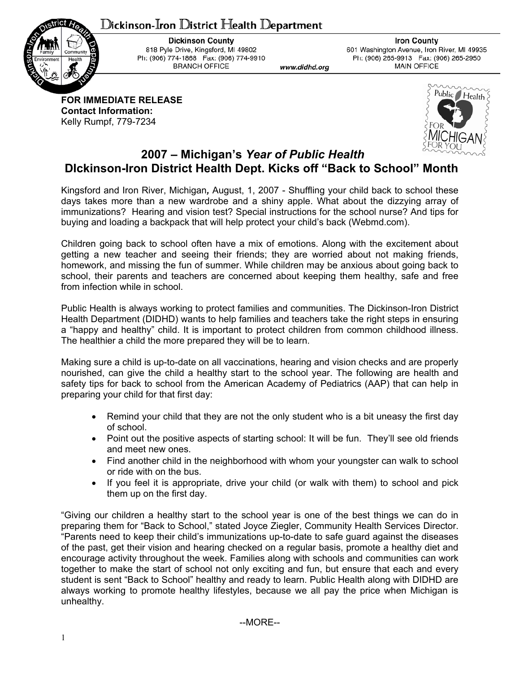## ${\mathbb D}$ ickinson-Iron  ${\mathbb D}$ istrict  ${\mathbb H}$ ealth  ${\mathbb D}$ epartment



**Dickinson County** 818 Pyle Drive, Kingsford, MI 49802 Ph: (906) 774-1868 Fax: (906) 774-9910 **BRANCH OFFICE** 

**Iron County** 601 Washington Avenue, Iron River, MI 49935 Ph: (906) 265-9913 Fax: (906) 265-2950 **MAIN OFFICE** 

**FOR IMMEDIATE RELEASE Contact Information:**  Kelly Rumpf, 779-7234



## **2007 – Michigan's** *Year of Public Health*  **DIckinson-Iron District Health Dept. Kicks off "Back to School" Month**

www.didhd.org

Kingsford and Iron River, Michigan*,* August, 1, 2007 - Shuffling your child back to school these days takes more than a new wardrobe and a shiny apple. What about the dizzying array of immunizations? Hearing and vision test? Special instructions for the school nurse? And tips for buying and loading a backpack that will help protect your child's back (Webmd.com).

Children going back to school often have a mix of emotions. Along with the excitement about getting a new teacher and seeing their friends; they are worried about not making friends, homework, and missing the fun of summer. While children may be anxious about going back to school, their parents and teachers are concerned about keeping them healthy, safe and free from infection while in school.

Public Health is always working to protect families and communities. The Dickinson-Iron District Health Department (DIDHD) wants to help families and teachers take the right steps in ensuring a "happy and healthy" child. It is important to protect children from common childhood illness. The healthier a child the more prepared they will be to learn.

Making sure a child is up-to-date on all vaccinations, hearing and vision checks and are properly nourished, can give the child a healthy start to the school year. The following are health and safety tips for back to school from the American Academy of Pediatrics (AAP) that can help in preparing your child for that first day:

- Remind your child that they are not the only student who is a bit uneasy the first day of school.
- Point out the positive aspects of starting school: It will be fun. They'll see old friends and meet new ones.
- Find another child in the neighborhood with whom your youngster can walk to school or ride with on the bus.
- If you feel it is appropriate, drive your child (or walk with them) to school and pick them up on the first day.

"Giving our children a healthy start to the school year is one of the best things we can do in preparing them for "Back to School," stated Joyce Ziegler, Community Health Services Director. "Parents need to keep their child's immunizations up-to-date to safe guard against the diseases of the past, get their vision and hearing checked on a regular basis, promote a healthy diet and encourage activity throughout the week. Families along with schools and communities can work together to make the start of school not only exciting and fun, but ensure that each and every student is sent "Back to School" healthy and ready to learn. Public Health along with DIDHD are always working to promote healthy lifestyles, because we all pay the price when Michigan is unhealthy.